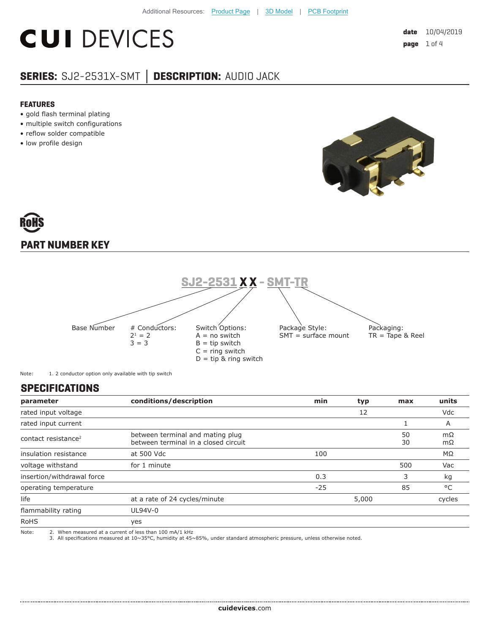# **CUI DEVICES**

### **SERIES:** SJ2-2531X-SMT **│ DESCRIPTION:** AUDIO JACK

#### **FEATURES**

- gold flash terminal plating
- multiple switch configurations
- reflow solder compatible
- low profile design



## **PART NUMBER KEY**



Note: 1. 2 conductor option only available with tip switch

#### **SPECIFICATIONS**

| parameter                       | conditions/description                                                   | min   | typ | max      | units    |
|---------------------------------|--------------------------------------------------------------------------|-------|-----|----------|----------|
| rated input voltage             |                                                                          |       | 12  |          | Vdc      |
| rated input current             |                                                                          |       |     |          | A        |
| contact resistance <sup>2</sup> | between terminal and mating plug<br>between terminal in a closed circuit |       |     | 50<br>30 | mΩ<br>mΩ |
| insulation resistance           | at 500 Vdc                                                               | 100   |     |          | ΜΩ       |
| voltage withstand               | for 1 minute                                                             |       |     | 500      | Vac      |
| insertion/withdrawal force      |                                                                          | 0.3   |     | 3        | kg       |
| operating temperature           |                                                                          | $-25$ |     | 85       | °C       |
| life                            | at a rate of 24 cycles/minute                                            | 5,000 |     | cycles   |          |
| flammability rating             | UL94V-0                                                                  |       |     |          |          |
| <b>RoHS</b>                     | yes                                                                      |       |     |          |          |
| Note:                           | 2. When measured at a current of less than 100 mA/1 kHz                  |       |     |          |          |

Note: 2. When measured at a current of less than 100 mA/1 kHz 3. All specifications measured at 10~35°C, humidity at 45~85%, under standard atmospheric pressure, unless otherwise noted.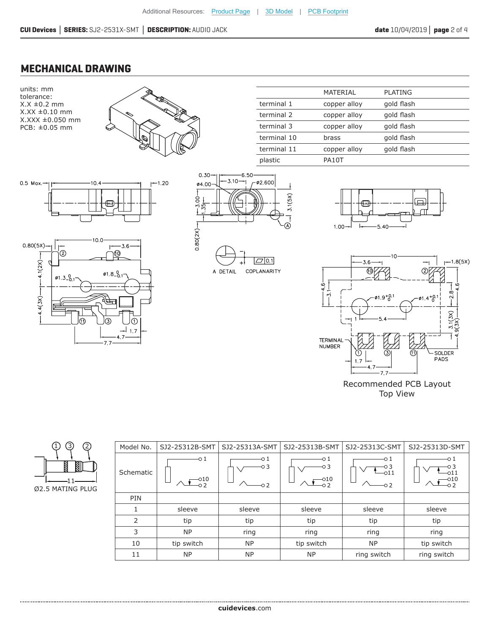#### **MECHANICAL DRAWING**



Recommended PCB Layout Top View

|               | Model No. | SJ2-25312B-SMT               | SJ2-25313A-SMT     | SJ2-25313B-SMT                 | SJ2-25313C-SMT                   | SJ2-25313D-SMT                             |
|---------------|-----------|------------------------------|--------------------|--------------------------------|----------------------------------|--------------------------------------------|
| J)<br>╺<br>ΙG | Schematic | -01<br>$\Box$ <sup>010</sup> | -0 1<br>O 3<br>o 2 | -0 1<br>O 3<br>$-010$<br>$-02$ | -0 1<br>O 3<br>-011<br>$\circ$ 2 | -0 1<br>$\mathbin{{\multimap}}11$<br>$-02$ |
|               | PIN       |                              |                    |                                |                                  |                                            |
|               |           | sleeve                       | sleeve             | sleeve                         | sleeve                           | sleeve                                     |
|               | 2         | tip                          | tip                | tip                            | tip                              | tip                                        |
|               | 3         | <b>NP</b>                    | ring               | ring                           | ring                             | ring                                       |
|               | 10        | tip switch                   | <b>NP</b>          | tip switch                     | <b>NP</b>                        | tip switch                                 |
|               | 11        | <b>NP</b>                    | <b>NP</b>          | <b>NP</b>                      | ring switch                      | ring switch                                |

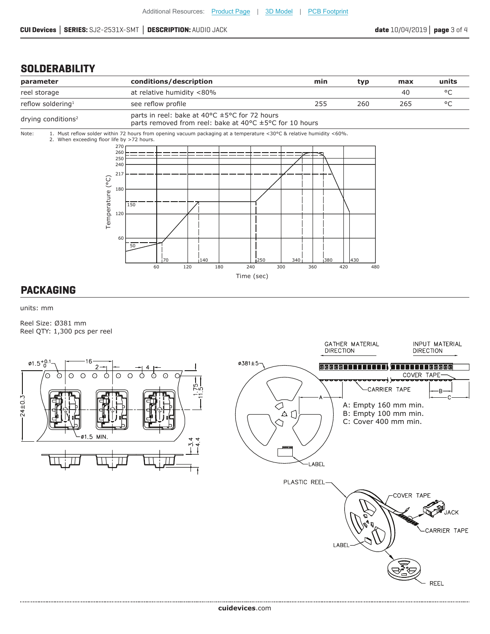#### **SOLDERABILITY**



#### **PACKAGING**

units: mm

Reel Size: Ø381 mm Reel QTY: 1,300 pcs per reel